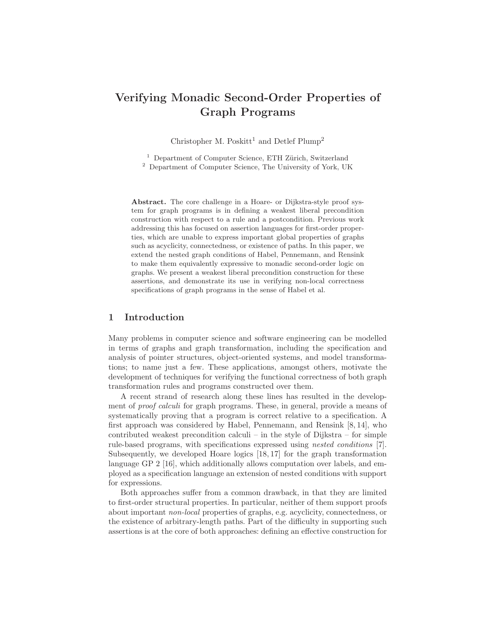# Verifying Monadic Second-Order Properties of Graph Programs

Christopher M. Poskitt<sup>1</sup> and Detlef Plump<sup>2</sup>

 $1$  Department of Computer Science, ETH Zürich, Switzerland <sup>2</sup> Department of Computer Science, The University of York, UK

Abstract. The core challenge in a Hoare- or Dijkstra-style proof system for graph programs is in defining a weakest liberal precondition construction with respect to a rule and a postcondition. Previous work addressing this has focused on assertion languages for first-order properties, which are unable to express important global properties of graphs such as acyclicity, connectedness, or existence of paths. In this paper, we extend the nested graph conditions of Habel, Pennemann, and Rensink to make them equivalently expressive to monadic second-order logic on graphs. We present a weakest liberal precondition construction for these assertions, and demonstrate its use in verifying non-local correctness specifications of graph programs in the sense of Habel et al.

### 1 Introduction

Many problems in computer science and software engineering can be modelled in terms of graphs and graph transformation, including the specification and analysis of pointer structures, object-oriented systems, and model transformations; to name just a few. These applications, amongst others, motivate the development of techniques for verifying the functional correctness of both graph transformation rules and programs constructed over them.

A recent strand of research along these lines has resulted in the development of *proof calculi* for graph programs. These, in general, provide a means of systematically proving that a program is correct relative to a specification. A first approach was considered by Habel, Pennemann, and Rensink [8, 14], who contributed weakest precondition calculi – in the style of Dijkstra – for simple rule-based programs, with specifications expressed using nested conditions [7]. Subsequently, we developed Hoare logics [18, 17] for the graph transformation language GP 2 [16], which additionally allows computation over labels, and employed as a specification language an extension of nested conditions with support for expressions.

Both approaches suffer from a common drawback, in that they are limited to first-order structural properties. In particular, neither of them support proofs about important non-local properties of graphs, e.g. acyclicity, connectedness, or the existence of arbitrary-length paths. Part of the difficulty in supporting such assertions is at the core of both approaches: defining an effective construction for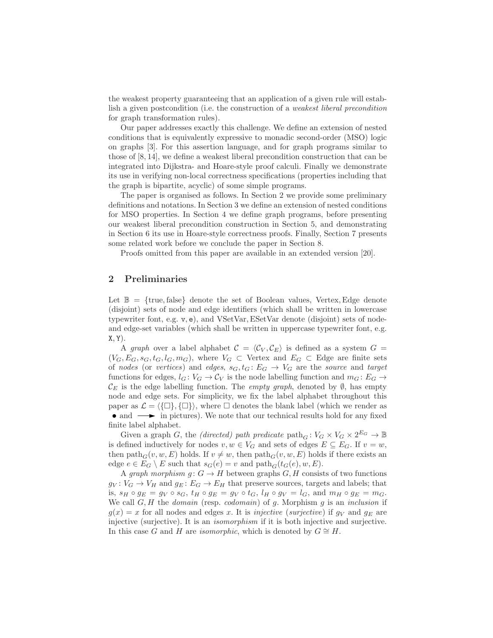the weakest property guaranteeing that an application of a given rule will establish a given postcondition (i.e. the construction of a weakest liberal precondition for graph transformation rules).

Our paper addresses exactly this challenge. We define an extension of nested conditions that is equivalently expressive to monadic second-order (MSO) logic on graphs [3]. For this assertion language, and for graph programs similar to those of [8, 14], we define a weakest liberal precondition construction that can be integrated into Dijkstra- and Hoare-style proof calculi. Finally we demonstrate its use in verifying non-local correctness specifications (properties including that the graph is bipartite, acyclic) of some simple programs.

The paper is organised as follows. In Section 2 we provide some preliminary definitions and notations. In Section 3 we define an extension of nested conditions for MSO properties. In Section 4 we define graph programs, before presenting our weakest liberal precondition construction in Section 5, and demonstrating in Section 6 its use in Hoare-style correctness proofs. Finally, Section 7 presents some related work before we conclude the paper in Section 8.

Proofs omitted from this paper are available in an extended version [20].

### 2 Preliminaries

Let  $\mathbb{B} = \{true, false\}$  denote the set of Boolean values, Vertex, Edge denote (disjoint) sets of node and edge identifiers (which shall be written in lowercase typewriter font, e.g. v, e), and VSetVar,ESetVar denote (disjoint) sets of nodeand edge-set variables (which shall be written in uppercase typewriter font, e.g.  $X, Y$ ).

A graph over a label alphabet  $\mathcal{C} = \langle \mathcal{C}_V , \mathcal{C}_E \rangle$  is defined as a system  $G =$  $(V_G, E_G, s_G, t_G, l_G, m_G)$ , where  $V_G \subset$  Vertex and  $E_G \subset$  Edge are finite sets of nodes (or vertices) and edges,  $s_G, t_G : E_G \to V_G$  are the source and target functions for edges,  $l_G: V_G \to C_V$  is the node labelling function and  $m_G: E_G \to$  $\mathcal{C}_E$  is the edge labelling function. The *empty graph*, denoted by  $\emptyset$ , has empty node and edge sets. For simplicity, we fix the label alphabet throughout this paper as  $\mathcal{L} = \{ {\{\Box \}, \{\Box \}\},\}$ , where  $\square$  denotes the blank label (which we render as • and  $\longrightarrow$  in pictures). We note that our technical results hold for any fixed finite label alphabet.

Given a graph G, the *(directed)* path predicate  $\text{path}_G : V_G \times V_G \times 2^{E_G} \to \mathbb{B}$ is defined inductively for nodes  $v, w \in V_G$  and sets of edges  $E \subseteq E_G$ . If  $v = w$ , then path<sub>G</sub> $(v, w, E)$  holds. If  $v \neq w$ , then path<sub>G</sub> $(v, w, E)$  holds if there exists an edge  $e \in E_G \setminus E$  such that  $s_G(e) = v$  and  $\text{path}_G(t_G(e), w, E)$ .

A graph morphism  $g: G \to H$  between graphs  $G, H$  consists of two functions  $g_V: V_G \to V_H$  and  $g_E: E_G \to E_H$  that preserve sources, targets and labels; that is,  $s_H \circ g_E = g_V \circ s_G$ ,  $t_H \circ g_E = g_V \circ t_G$ ,  $l_H \circ g_V = l_G$ , and  $m_H \circ g_E = m_G$ . We call  $G, H$  the *domain* (resp. *codomain*) of  $g$ . Morphism  $g$  is an *inclusion* if  $g(x) = x$  for all nodes and edges x. It is injective (surjective) if  $g_V$  and  $g_E$  are injective (surjective). It is an isomorphism if it is both injective and surjective. In this case G and H are *isomorphic*, which is denoted by  $G \cong H$ .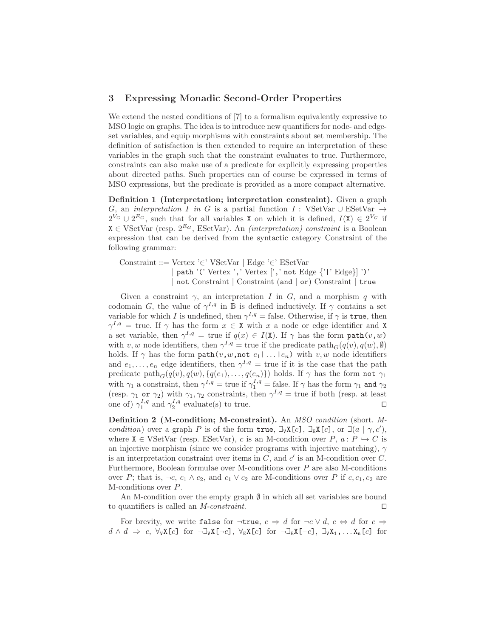#### 3 Expressing Monadic Second-Order Properties

We extend the nested conditions of [7] to a formalism equivalently expressive to MSO logic on graphs. The idea is to introduce new quantifiers for node- and edgeset variables, and equip morphisms with constraints about set membership. The definition of satisfaction is then extended to require an interpretation of these variables in the graph such that the constraint evaluates to true. Furthermore, constraints can also make use of a predicate for explicitly expressing properties about directed paths. Such properties can of course be expressed in terms of MSO expressions, but the predicate is provided as a more compact alternative.

Definition 1 (Interpretation; interpretation constraint). Given a graph G, an interpretation I in G is a partial function I : VSetVar  $\cup$  ESetVar  $\rightarrow$  $2^{V_G} \cup 2^{E_G}$ , such that for all variables X on which it is defined,  $I(X) \in 2^{V_G}$  if  $X \in VSetVar$  (resp.  $2^{E_G}$ , ESetVar). An *(interpretation) constraint* is a Boolean expression that can be derived from the syntactic category Constraint of the following grammar:

Constraint ::= Vertex '∈' VSetVar | Edge '∈' ESetVar path '(' Vertex ',' Vertex [',' not Edge {'|' Edge}] ')' | not Constraint | Constraint (and | or) Constraint | true

Given a constraint  $\gamma$ , an interpretation I in G, and a morphism q with codomain G, the value of  $\gamma^{I,q}$  in B is defined inductively. If  $\gamma$  contains a set variable for which I is undefined, then  $\gamma^{I,q} = \text{false}$ . Otherwise, if  $\gamma$  is true, then  $\gamma^{I,q} = \text{true}$ . If  $\gamma$  has the form  $x \in X$  with x a node or edge identifier and X a set variable, then  $\gamma^{I,q} = \text{true}$  if  $q(x) \in I(X)$ . If  $\gamma$  has the form  $\text{path}(v,w)$ with v, w node identifiers, then  $\gamma^{I,q} =$  true if the predicate path $_G(q(v), q(w), \emptyset)$ holds. If  $\gamma$  has the form  $path(v, w, \text{not } e_1 | \dots | e_n)$  with  $v, w$  node identifiers and  $e_1, \ldots, e_n$  edge identifiers, then  $\gamma^{I,q} = \text{true}$  if it is the case that the path predicate  $\text{path}_G(q(v), q(w), \{q(e_1), \ldots, q(e_n)\})$  holds. If  $\gamma$  has the form not  $\gamma_1$ with  $\gamma_1$  a constraint, then  $\gamma^{I,q} = \text{true}$  if  $\gamma_1^{I,q} = \text{false}$ . If  $\gamma$  has the form  $\gamma_1$  and  $\gamma_2$ (resp.  $\gamma_1$  or  $\gamma_2$ ) with  $\gamma_1, \gamma_2$  constraints, then  $\gamma^{I,q} = \text{true}$  if both (resp. at least one of)  $\gamma_1^{I,q}$  and  $\gamma_2^{I,q}$  evaluate(s) to true.  $\Box$ 

Definition 2 (M-condition; M-constraint). An MSO condition (short. Mcondition) over a graph P is of the form true,  $\exists_{v} X[c]$ ,  $\exists_{E} X[c]$ , or  $\exists (a \mid \gamma, c')$ , where  $X \in VSetVar$  (resp. ESetVar), c is an M-condition over P,  $a: P \hookrightarrow C$  is an injective morphism (since we consider programs with injective matching),  $\gamma$ is an interpretation constraint over items in  $C$ , and  $c'$  is an M-condition over  $C$ . Furthermore, Boolean formulae over M-conditions over P are also M-conditions over P; that is,  $\neg c$ ,  $c_1 \wedge c_2$ , and  $c_1 \vee c_2$  are M-conditions over P if  $c$ ,  $c_1$ ,  $c_2$  are M-conditions over P.

An M-condition over the empty graph  $\emptyset$  in which all set variables are bound to quantifiers is called an M-constraint. ⊓⊔

For brevity, we write false for  $\neg \text{true}, c \Rightarrow d$  for  $\neg c \lor d, c \Leftrightarrow d$  for  $c \Rightarrow$  $d \wedge d \Rightarrow c, \forall_{V} X[c]$  for  $\neg \exists_{V} X[\neg c], \forall_{E} X[c]$  for  $\neg \exists_{E} X[\neg c], \exists_{V} X_{1}, \ldots X_{n}[c]$  for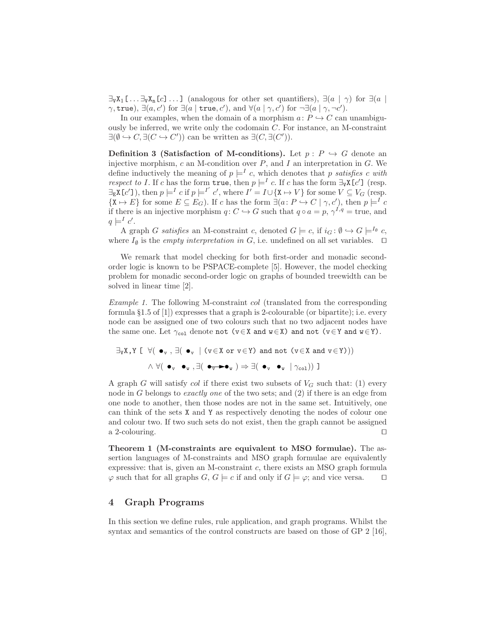$\exists vX_1$ [ ...  $\exists vX_n$ [c] ...] (analogous for other set quantifiers),  $\exists (a \mid \gamma)$  for  $\exists (a \mid a)$  $\gamma$ , true),  $\exists (a, c')$  for  $\exists (a \mid \text{true}, c')$ , and  $\forall (a \mid \gamma, c')$  for  $\neg \exists (a \mid \gamma, \neg c')$ .

In our examples, when the domain of a morphism  $a: P \hookrightarrow C$  can unambiguously be inferred, we write only the codomain C. For instance, an M-constraint  $\exists(\emptyset \hookrightarrow C, \exists(C \hookrightarrow C'))$  can be written as  $\exists(C, \exists(C')).$ 

**Definition 3 (Satisfaction of M-conditions).** Let  $p: P \hookrightarrow G$  denote an injective morphism, c an M-condition over  $P$ , and  $I$  an interpretation in  $G$ . We define inductively the meaning of  $p \models^{I} c$ , which denotes that p satisfies c with respect to I. If c has the form  $true$ , then  $p \models^{I} c$ . If c has the form  $\exists_{\forall} X[c']$  (resp.  $\exists_{\mathbb{E}} \mathbf{X} [c']$ ), then  $p \models^{I} c$  if  $p \models^{I'} c'$ , where  $I' = I \cup \{ \mathbf{X} \mapsto V \}$  for some  $V \subseteq V_G$  (resp.  $\{X \mapsto E\}$  for some  $E \subseteq E_G$ ). If c has the form  $\exists (a \colon P \hookrightarrow C \mid \gamma, c')$ , then  $p \models^I c$ if there is an injective morphism  $q: C \hookrightarrow G$  such that  $q \circ a = p, \gamma^{I,q} = \text{true}$ , and  $q \models^I c'.$ 

A graph G satisfies an M-constraint c, denoted  $G \models c$ , if  $i_G : \emptyset \hookrightarrow G \models^{I_{\emptyset}} c$ , where  $I_{\emptyset}$  is the *empty interpretation in G*, i.e. undefined on all set variables.  $\Box$ 

We remark that model checking for both first-order and monadic secondorder logic is known to be PSPACE-complete [5]. However, the model checking problem for monadic second-order logic on graphs of bounded treewidth can be solved in linear time [2].

Example 1. The following M-constraint col (translated from the corresponding formula §1.5 of [1]) expresses that a graph is 2-colourable (or bipartite); i.e. every node can be assigned one of two colours such that no two adjacent nodes have the same one. Let  $\gamma_{\text{col}}$  denote not  $(v \in X \text{ and } w \in X)$  and not  $(v \in Y \text{ and } w \in Y)$ .

$$
\exists_{V} X, Y \;[\; \; \forall (\; \bullet_{v} \; , \; \exists (\; \bullet_{v} \; \; | \; (v \in X \; or \; v \in Y) \; \text{and not} \; (v \in X \; \text{and} \; v \in Y)))
$$

$$
\land \; \forall (\; \bullet_{v} \; \bullet_{w} \; , \exists (\; \bullet_{v} \bullet_{w} \; ) \Rightarrow \exists (\; \bullet_{v} \; \bullet_{w} \; \; | \; \gamma_{\text{col}})) \; \exists
$$

A graph G will satisfy col if there exist two subsets of  $V_G$  such that: (1) every node in G belongs to *exactly one* of the two sets; and  $(2)$  if there is an edge from one node to another, then those nodes are not in the same set. Intuitively, one can think of the sets X and Y as respectively denoting the nodes of colour one and colour two. If two such sets do not exist, then the graph cannot be assigned a 2-colouring. ⊓⊔

Theorem 1 (M-constraints are equivalent to MSO formulae). The assertion languages of M-constraints and MSO graph formulae are equivalently expressive: that is, given an M-constraint  $c$ , there exists an MSO graph formula  $\varphi$  such that for all graphs  $G, G \models c$  if and only if  $G \models \varphi$ ; and vice versa. □

## 4 Graph Programs

In this section we define rules, rule application, and graph programs. Whilst the syntax and semantics of the control constructs are based on those of GP 2 [16],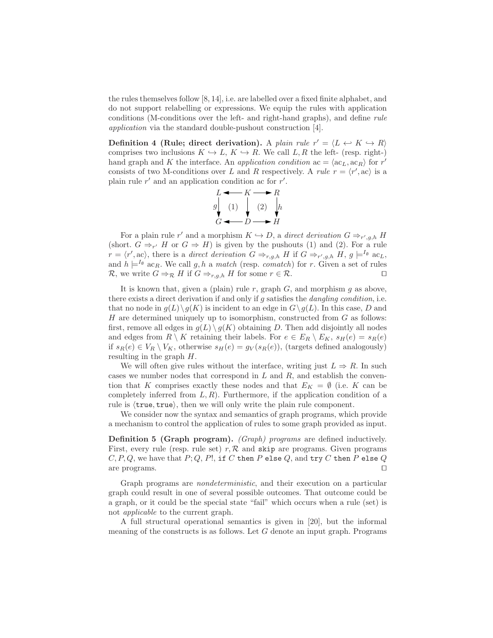the rules themselves follow [8, 14], i.e. are labelled over a fixed finite alphabet, and do not support relabelling or expressions. We equip the rules with application conditions (M-conditions over the left- and right-hand graphs), and define rule application via the standard double-pushout construction [4].

Definition 4 (Rule; direct derivation). A plain rule  $r' = \langle L \leftrightarrow K \to R \rangle$ comprises two inclusions  $K \hookrightarrow L$ ,  $K \hookrightarrow R$ . We call  $L, R$  the left- (resp. right-) hand graph and K the interface. An *application condition* ac =  $\langle ac_L, ac_R \rangle$  for r' consists of two M-conditions over L and R respectively. A *rule*  $r = \langle r', ac \rangle$  is a plain rule  $r'$  and an application condition ac for  $r'$ .

$$
\begin{array}{ccc}\nL & \longrightarrow & K & \longrightarrow & R \\
g & & & & \\
\downarrow & & & & & \\
G & & & & & \downarrow \\
\hline\n\end{array}
$$

For a plain rule r' and a morphism  $K \hookrightarrow D$ , a direct derivation  $G \Rightarrow_{r',g,h} H$ (short.  $G \Rightarrow_{r'} H$  or  $G \Rightarrow H$ ) is given by the pushouts (1) and (2). For a rule  $r = \langle r', \text{ac} \rangle$ , there is a direct derivation  $G \Rightarrow_{r,g,h} H$  if  $G \Rightarrow_{r',g,h} H, g \models^{I_{\emptyset}} \text{ac}_{L},$ and  $h \models^{I_{\emptyset}} a c_R$ . We call g, h a match (resp. comatch) for r. Given a set of rules R, we write  $G \Rightarrow_{\mathcal{R}} H$  if  $G \Rightarrow_{r,q,h} H$  for some  $r \in \mathcal{R}$ .

It is known that, given a (plain) rule r, graph  $G$ , and morphism  $g$  as above, there exists a direct derivation if and only if  $g$  satisfies the *dangling condition*, i.e. that no node in  $g(L)\backslash g(K)$  is incident to an edge in  $G\backslash g(L)$ . In this case, D and H are determined uniquely up to isomorphism, constructed from  $G$  as follows: first, remove all edges in  $g(L) \setminus g(K)$  obtaining D. Then add disjointly all nodes and edges from  $R \setminus K$  retaining their labels. For  $e \in E_R \setminus E_K$ ,  $s_H(e) = s_R(e)$ if  $s_R(e) \in V_R \setminus V_K$ , otherwise  $s_H(e) = g_V(s_R(e))$ , (targets defined analogously) resulting in the graph H.

We will often give rules without the interface, writing just  $L \Rightarrow R$ . In such cases we number nodes that correspond in  $L$  and  $R$ , and establish the convention that K comprises exactly these nodes and that  $E_K = \emptyset$  (i.e. K can be completely inferred from  $L, R$ ). Furthermore, if the application condition of a rule is  $\langle true, true \rangle$ , then we will only write the plain rule component.

We consider now the syntax and semantics of graph programs, which provide a mechanism to control the application of rules to some graph provided as input.

Definition 5 (Graph program). *(Graph) programs* are defined inductively. First, every rule (resp. rule set)  $r, R$  and skip are programs. Given programs  $C, P, Q$ , we have that  $P, Q, P!$ , if C then P else Q, and try C then P else Q are programs. ⊓⊔

Graph programs are nondeterministic, and their execution on a particular graph could result in one of several possible outcomes. That outcome could be a graph, or it could be the special state "fail" which occurs when a rule (set) is not applicable to the current graph.

A full structural operational semantics is given in [20], but the informal meaning of the constructs is as follows. Let G denote an input graph. Programs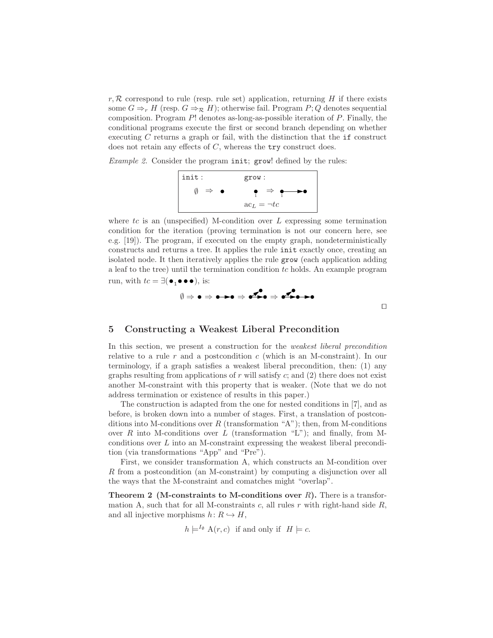$r, \mathcal{R}$  correspond to rule (resp. rule set) application, returning H if there exists some  $G \Rightarrow_{r} H$  (resp.  $G \Rightarrow_{\mathcal{R}} H$ ); otherwise fail. Program P; Q denotes sequential composition. Program  $P!$  denotes as-long-as-possible iteration of  $P$ . Finally, the conditional programs execute the first or second branch depending on whether executing  $C$  returns a graph or fail, with the distinction that the  $if$  construct does not retain any effects of  $C$ , whereas the  $try$  construct does.

Example 2. Consider the program init; grow! defined by the rules:



where  $tc$  is an (unspecified) M-condition over L expressing some termination condition for the iteration (proving termination is not our concern here, see e.g. [19]). The program, if executed on the empty graph, nondeterministically constructs and returns a tree. It applies the rule init exactly once, creating an isolated node. It then iteratively applies the rule grow (each application adding a leaf to the tree) until the termination condition tc holds. An example program run, with  $tc = \exists (\bullet_1 \bullet \bullet \bullet), \text{ is:}$ 



⊓⊔

#### 5 Constructing a Weakest Liberal Precondition

In this section, we present a construction for the weakest liberal precondition relative to a rule r and a postcondition c (which is an M-constraint). In our terminology, if a graph satisfies a weakest liberal precondition, then: (1) any graphs resulting from applications of  $r$  will satisfy  $c$ ; and  $(2)$  there does not exist another M-constraint with this property that is weaker. (Note that we do not address termination or existence of results in this paper.)

The construction is adapted from the one for nested conditions in [7], and as before, is broken down into a number of stages. First, a translation of postconditions into M-conditions over R (transformation "A"); then, from M-conditions over R into M-conditions over L (transformation "L"); and finally, from Mconditions over L into an M-constraint expressing the weakest liberal precondition (via transformations "App" and "Pre").

First, we consider transformation A, which constructs an M-condition over R from a postcondition (an M-constraint) by computing a disjunction over all the ways that the M-constraint and comatches might "overlap".

**Theorem 2** (M-constraints to M-conditions over  $R$ ). There is a transformation A, such that for all M-constraints  $c$ , all rules  $r$  with right-hand side  $R$ , and all injective morphisms  $h: R \hookrightarrow H$ ,

 $h \models^{I_\emptyset} A(r, c)$  if and only if  $H \models c$ .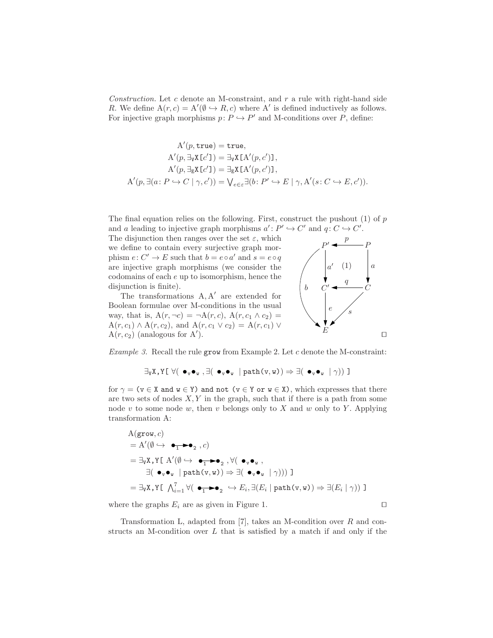Construction. Let  $c$  denote an M-constraint, and  $r$  a rule with right-hand side R. We define  $A(r, c) = A'(\emptyset \hookrightarrow R, c)$  where A' is defined inductively as follows. For injective graph morphisms  $p: P \hookrightarrow P'$  and M-conditions over P, define:

$$
A'(p, true) = true,
$$
  
\n
$$
A'(p, \exists_{v} X[c']) = \exists_{v} X[A'(p, c')],
$$
  
\n
$$
A'(p, \exists_{E} X[c']) = \exists_{E} X[A'(p, c')],
$$
  
\n
$$
A'(p, \exists (a: P \hookrightarrow C \mid \gamma, c')) = \bigvee_{e \in \varepsilon} \exists (b: P' \hookrightarrow E \mid \gamma, A'(s: C \hookrightarrow E, c')).
$$

The final equation relies on the following. First, construct the pushout  $(1)$  of p and a leading to injective graph morphisms  $a' : P' \hookrightarrow C'$  and  $q : C \hookrightarrow C'$ .

The disjunction then ranges over the set  $\varepsilon$ , which phism  $e: C' \to E$  such that  $b = e \circ a'$  and  $s = e \circ q$ are injective graph morphisms (we consider the are extended for we define to contain every surjective graph morcodomains of each e up to isomorphism, hence the disjunction is finite).

The transformations  $A, A'$  are extended for way, that is,  $A(r, \neg c) = \neg A(r, c)$ ,  $A(r, c_1 \wedge c_2) =$ Boolean formulae over M-conditions in the usual  $A(r, c_1) \wedge A(r, c_2)$ , and  $A(r, c_1 \vee c_2) = A(r, c_1) \vee$  $A(r, c_2)$  (analogous for A').



Example 3. Recall the rule grow from Example 2. Let c denote the M-constraint:

 $\exists_{V} X,Y[\ \forall (\bullet_{V} \bullet_{W}, \exists (\bullet_{V} \bullet_{W} \mid path(v, w)) \Rightarrow \exists (\bullet_{V} \bullet_{W} \mid \gamma))$ ]

for  $\gamma = (v \in X \text{ and } w \in Y)$  and not  $(v \in Y \text{ or } w \in X)$ , which expresses that there are two sets of nodes  $X, Y$  in the graph, such that if there is a path from some node v to some node w, then v belongs only to X and w only to Y. Applying transformation A:

$$
A(\text{grow}, c)
$$
  
=  $A'(\emptyset \hookrightarrow \bullet_1 \bullet \bullet_2, c)$   
=  $\exists_{v} X, Y \in A'(\emptyset \hookrightarrow \bullet_1 \bullet \bullet_2, \forall (\bullet_{v} \bullet_w, \bullet_w, \bullet_w, \exists (\bullet_{v} \bullet_w \mid \gamma))) \exists$   
=  $\exists_{v} X, Y \in \bigwedge_{i=1}^{7} \forall (\bullet_1 \bullet \bullet_2 \hookrightarrow E_i, \exists (E_i \mid \text{path}(v, w)) \Rightarrow \exists (E_i \mid \gamma)) \exists$ 

where the graphs  $E_i$  are as given in Figure 1. □

Transformation L, adapted from [7], takes an M-condition over R and constructs an M-condition over  $L$  that is satisfied by a match if and only if the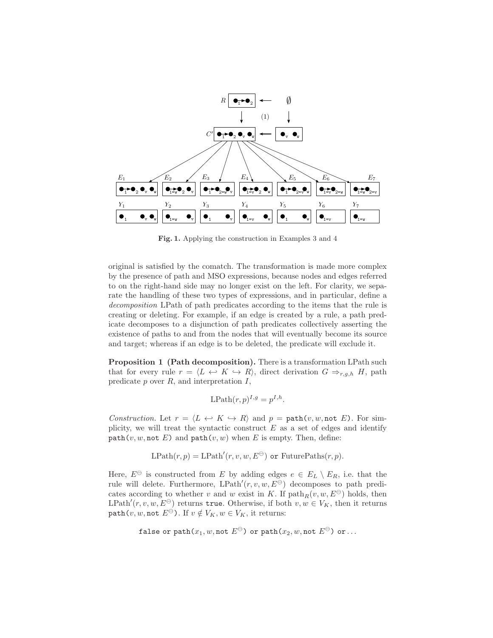

Fig. 1. Applying the construction in Examples 3 and 4

original is satisfied by the comatch. The transformation is made more complex by the presence of path and MSO expressions, because nodes and edges referred to on the right-hand side may no longer exist on the left. For clarity, we separate the handling of these two types of expressions, and in particular, define a decomposition LPath of path predicates according to the items that the rule is creating or deleting. For example, if an edge is created by a rule, a path predicate decomposes to a disjunction of path predicates collectively asserting the existence of paths to and from the nodes that will eventually become its source and target; whereas if an edge is to be deleted, the predicate will exclude it.

Proposition 1 (Path decomposition). There is a transformation LPath such that for every rule  $r = \langle L \leftrightarrow K \leftrightarrow R \rangle$ , direct derivation  $G \Rightarrow_{r,g,h} H$ , path predicate  $p$  over  $R$ , and interpretation  $I$ ,

$$
\text{LPath}(r, p)^{I, g} = p^{I, h}.
$$

Construction. Let  $r = \langle L \leftrightarrow K \to R \rangle$  and  $p = \text{path}(v, w, \text{not } E)$ . For simplicity, we will treat the syntactic construct  $E$  as a set of edges and identify  $path(v, w, \text{not } E)$  and  $path(v, w)$  when E is empty. Then, define:

$$
LPath(r, p) = LPath'(r, v, w, E^{\ominus}) \text{ or FuturePaths}(r, p).
$$

Here,  $E^{\ominus}$  is constructed from E by adding edges  $e \in E_L \setminus E_R$ , i.e. that the rule will delete. Furthermore,  $L\text{Path}'(r, v, w, E^{\ominus})$  decomposes to path predicates according to whether v and w exist in K. If  $path_R(v, w, E^{\ominus})$  holds, then LPath<sup>'</sup> $(r, v, w, E^{\ominus})$  returns true. Otherwise, if both  $v, w \in V_K$ , then it returns path $(v, w, \text{not } E^{\ominus})$ . If  $v \notin V_K, w \in V_K$ , it returns:

false or path
$$
(x_1, w, \text{not } E^{\ominus})
$$
 or path $(x_2, w, \text{not } E^{\ominus})$  or ...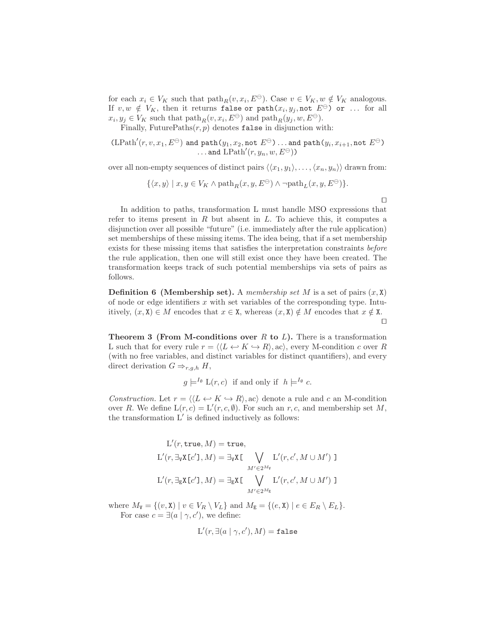for each  $x_i \in V_K$  such that  $\text{path}_R(v, x_i, E^{\ominus})$ . Case  $v \in V_K$ ,  $w \notin V_K$  analogous. If  $v, w \notin V_K$ , then it returns false or  $path(x_i, y_j, \text{not } E^{\ominus})$  or ... for all  $x_i, y_j \in V_K$  such that  $\text{path}_R(v, x_i, E^{\ominus})$  and  $\text{path}_R(y_j, w, E^{\ominus})$ .

Finally, FuturePaths $(r, p)$  denotes false in disjunction with:

$$
(\text{LPath}'(r, v, x_1, E^{\ominus}) \text{ and } \text{path}(y_1, x_2, \text{not } E^{\ominus}) \dots \text{ and } \text{path}(y_i, x_{i+1}, \text{not } E^{\ominus}) \dots \text{ and } \text{LPath}'(r, y_n, w, E^{\ominus}))
$$

over all non-empty sequences of distinct pairs  $\langle\langle x_1, y_1\rangle, \ldots, \langle x_n, y_n\rangle\rangle$  drawn from:

$$
\{\langle x,y\rangle\mid x,y\in V_K \wedge \text{path}_R(x,y,E^\ominus)\wedge \neg \text{path}_L(x,y,E^\ominus)\}.
$$

In addition to paths, transformation L must handle MSO expressions that refer to items present in  $R$  but absent in  $L$ . To achieve this, it computes a disjunction over all possible "future" (i.e. immediately after the rule application) set memberships of these missing items. The idea being, that if a set membership exists for these missing items that satisfies the interpretation constraints before the rule application, then one will still exist once they have been created. The transformation keeps track of such potential memberships via sets of pairs as follows.

**Definition 6 (Membership set).** A membership set M is a set of pairs  $(x, \lambda)$ of node or edge identifiers  $x$  with set variables of the corresponding type. Intuitively,  $(x, \mathbf{X}) \in M$  encodes that  $x \in \mathbf{X}$ , whereas  $(x, \mathbf{X}) \notin M$  encodes that  $x \notin \mathbf{X}$ . ⊓⊔

**Theorem 3 (From M-conditions over R to L).** There is a transformation L such that for every rule  $r = \langle L \leftrightarrow K \to R \rangle$ , ac), every M-condition c over R (with no free variables, and distinct variables for distinct quantifiers), and every direct derivation  $G \Rightarrow_{r,q,h} H$ ,

$$
g \models^{I_{\emptyset}} L(r, c)
$$
 if and only if  $h \models^{I_{\emptyset}} c$ .

Construction. Let  $r = \langle L \leftrightarrow K \to R \rangle$ , ac) denote a rule and c an M-condition over R. We define  $L(r, c) = L'(r, c, \emptyset)$ . For such an r, c, and membership set M, the transformation  $L'$  is defined inductively as follows:

$$
L'(r, \text{true}, M) = \text{true},
$$
  
\n
$$
L'(r, \exists_{\text{V}} X [c'], M) = \exists_{\text{V}} X [\bigvee_{M' \in 2^{M_{\text{V}}}} L'(r, c', M \cup M')]
$$
  
\n
$$
L'(r, \exists_{\text{E}} X [c'], M) = \exists_{\text{E}} X [\bigvee_{M' \in 2^{M_{\text{E}}}} L'(r, c', M \cup M')]
$$

where  $M_{\mathbf{V}} = \{(v, \mathbf{X}) \mid v \in V_R \setminus V_L\}$  and  $M_{\mathbf{E}} = \{(e, \mathbf{X}) \mid e \in E_R \setminus E_L\}.$ For case  $c = \exists (a \mid \gamma, c')$ , we define:

$$
\mathcal{L}'(r, \exists (a \mid \gamma, c'), M) = \mathtt{false}
$$

⊓⊔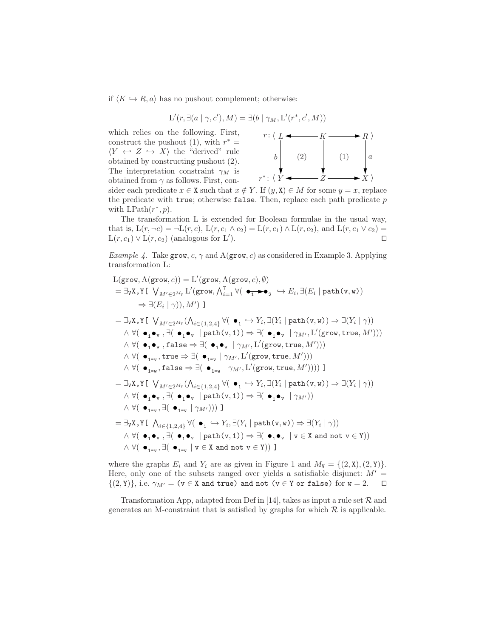if  $\langle K \hookrightarrow R, a \rangle$  has no pushout complement; otherwise:

$$
\mathcal{L}'(r, \exists (a \mid \gamma, c'), M) = \exists (b \mid \gamma_M, \mathcal{L}'(r^*, c', M))
$$

which relies on the following. First, construct the pushout (1), with  $r^* =$  $\langle Y \leftrightarrow Z \leftrightarrow X \rangle$  the "derived" rule obtained by constructing pushout (2). The interpretation constraint  $\gamma_M$  is obtained from  $\gamma$  as follows. First, con-



sider each predicate  $x \in X$  such that  $x \notin Y$ . If  $(y, X) \in M$  for some  $y = x$ , replace the predicate with true; otherwise false. Then, replace each path predicate  $p$ with  $\text{LPath}(r^*, p)$ .

The transformation L is extended for Boolean formulae in the usual way, that is,  $L(r, \neg c) = \neg L(r, c)$ ,  $L(r, c_1 \wedge c_2) = L(r, c_1) \wedge L(r, c_2)$ , and  $L(r, c_1 \vee c_2) =$  $L(r, c_1) \vee L(r, c_2)$  (analogous for L'). ). ⊓⊔

*Example 4.* Take grow,  $c, \gamma$  and  $A(grow, c)$  as considered in Example 3. Applying transformation L:

$$
L(\text{grow}, A(\text{grow}, c)) = L'(\text{grow}, A(\text{grow}, c), \emptyset)
$$
\n
$$
= \exists_{v} x, y \in V_{M' \in 2^{M_v}} L'(\text{grow}, \bigwedge_{i=1}^{7} \forall (\bullet_{1} \rightarrow \bullet_{2} \rightarrow E_{i}, \exists (E_{i} \mid \text{path}(v, w))
$$
\n
$$
\Rightarrow \exists (E_{i} \mid \gamma)), M') \text{ ]}
$$
\n
$$
= \exists_{v} x, y \in V_{M' \in 2^{M_v}} (\bigwedge_{i \in \{1, 2, 4\}} \forall (\bullet_{1} \rightarrow Y_{i}, \exists (Y_{i} \mid \text{path}(v, w)) \Rightarrow \exists (Y_{i} \mid \gamma))
$$
\n
$$
\land \forall (\bullet_{1} \bullet_{v}, \exists (\bullet_{1} \bullet_{v} \mid \text{path}(v, 1)) \Rightarrow \exists (\bullet_{1} \bullet_{v} \mid \gamma_{M'}, L'(\text{grow}, \text{true}, M')))
$$
\n
$$
\land \forall (\bullet_{1} \bullet_{v}, \text{false} \Rightarrow \exists (\bullet_{1} \bullet_{v} \mid \gamma_{M'}, L'(\text{grow}, \text{true}, M')))
$$
\n
$$
\land \forall (\bullet_{1 = v}, \text{true} \Rightarrow \exists (\bullet_{1} \bullet_{v} \mid \gamma_{M'}, L'(\text{grow}, \text{true}, M')))
$$
\n
$$
\land \forall (\bullet_{1 = v}, \text{false} \Rightarrow \exists (\bullet_{1 = v} \mid \gamma_{M'}, L'(\text{grow}, \text{true}, M'))))
$$
\n
$$
\land \forall (\bullet_{1 = v}, \text{false} \Rightarrow \exists (\bullet_{1 = v} \mid \gamma_{M'}, L'(\text{grow}, \text{true}, M'))))
$$
\n
$$
\land \forall (\bullet_{1} \bullet_{v}, \text{false} \Rightarrow (\bullet_{1 = v} \mid \gamma_{M'}, L'(\text{grow}, \text{true}, M')))
$$
\n
$$
\land \forall (\bullet_{1} \bullet_{v}, \text{false} \mid \text{path}(v, 1)) \Rightarrow \exists (\bullet_{1} \bullet_{v} \mid \gamma_{M'}))
$$
\n
$$
\land \forall (\bullet_{1} \bullet_{v}, \text{false} \mid \text{path}(v, 1)) \Rightarrow \exists (\bullet_{1} \bullet_{v} \mid \gamma_{M'}))
$$
\n $$ 

where the graphs  $E_i$  and  $Y_i$  are as given in Figure 1 and  $M_{\mathbf{V}} = \{(2, \mathbf{X}), (2, \mathbf{Y})\}.$ Here, only one of the subsets ranged over yields a satisfiable disjunct:  $M' =$  $\{(2, Y)\}\)$ , i.e.  $\gamma_{M'} = (v \in X \text{ and true})$  and not  $(v \in Y \text{ or false})$  for  $w = 2$ . □

Transformation App, adapted from Def in [14], takes as input a rule set  $R$  and generates an M-constraint that is satisfied by graphs for which  $R$  is applicable.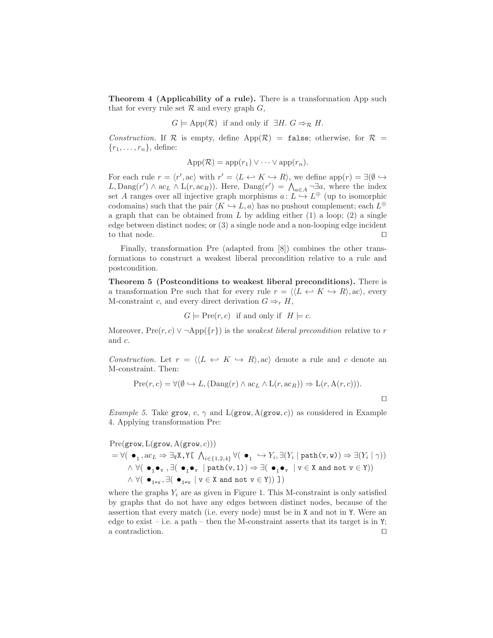Theorem 4 (Applicability of a rule). There is a transformation App such that for every rule set  $\mathcal R$  and every graph  $G$ ,

$$
G \models \text{App}(\mathcal{R})
$$
 if and only if  $\exists H$ .  $G \Rightarrow_{\mathcal{R}} H$ .

Construction. If R is empty, define  $App(R) = false$ ; otherwise, for R =  $\{r_1, \ldots, r_n\}$ , define:

$$
App(\mathcal{R}) = app(r_1) \vee \cdots \vee app(r_n).
$$

For each rule  $r = \langle r', ac \rangle$  with  $r' = \langle L \leftrightarrow K \leftrightarrow R \rangle$ , we define app $(r) = \exists (\emptyset \leftrightarrow$  $L, \text{Dang}(r') \wedge \text{ac}_L \wedge \text{L}(r, \text{ac}_R)$ . Here,  $\text{Dang}(r') = \bigwedge_{a \in A} \neg \exists a$ , where the index set A ranges over all injective graph morphisms  $a: L \to L^{\oplus}$  (up to isomorphic codomains) such that the pair  $\langle K \hookrightarrow L, a \rangle$  has no pushout complement; each  $L^{\oplus}$ a graph that can be obtained from  $L$  by adding either (1) a loop; (2) a single edge between distinct nodes; or (3) a single node and a non-looping edge incident to that node.  $□$ 

Finally, transformation Pre (adapted from [8]) combines the other transformations to construct a weakest liberal precondition relative to a rule and postcondition.

Theorem 5 (Postconditions to weakest liberal preconditions). There is a transformation Pre such that for every rule  $r = \langle L \leftrightarrow K \leftrightarrow R \rangle$ , ac $\rangle$ , every M-constraint c, and every direct derivation  $G \Rightarrow_r H$ ,

$$
G \models \text{Pre}(r, c)
$$
 if and only if  $H \models c$ .

Moreover,  $Pre(r, c) \vee \neg \text{App}(\lbrace r \rbrace)$  is the *weakest liberal precondition* relative to r and c.

Construction. Let  $r = \langle L \leftrightarrow K \leftrightarrow R \rangle$ , ac) denote a rule and c denote an M-constraint. Then:

$$
Pre(r, c) = \forall (\emptyset \hookrightarrow L, (Dang(r) \wedge ac_L \wedge L(r, ac_R)) \Rightarrow L(r, A(r, c))).
$$

⊓⊔

Example 5. Take grow, c,  $\gamma$  and L(grow, A(grow, c)) as considered in Example 4. Applying transformation Pre:

$$
\begin{aligned} &\mathrm{Pre}(\texttt{grow},\mathrm{L}(\texttt{grow},\mathrm{A}(\texttt{grow},c)))\\ &=\forall(\ \bullet_1\,,\mathrm{ac}_L\Rightarrow\exists_{\mathtt{V}}\mathtt{X},\mathtt{Y}\boldsymbol{\mathbb{E}}\ \bigwedge_{i\in\{1,2,4\}}\forall(\ \bullet_1\ \hookrightarrow Y_i,\exists (Y_i\mid\texttt{path(v,w)})\Rightarrow\exists (Y_i\mid\gamma))\\ &\wedge \forall(\ \bullet_1\bullet_\mathtt{v},\exists(\ \bullet_1\bullet_\mathtt{v}\ \mid\texttt{path(v,1)})\Rightarrow\exists(\ \bullet_1\bullet_\mathtt{v}\ \mid\mathtt{v}\in\mathtt{X}\ \text{and}\ \texttt{not}\ \mathtt{v}\in\mathtt{Y}))\\ &\wedge \forall(\ \bullet_{1=\mathtt{v}},\exists(\ \bullet_{1=\mathtt{v}}\mid\mathtt{v}\in\mathtt{X}\ \text{and}\ \texttt{not}\ \mathtt{v}\in\mathtt{Y}))\ \mathbb{I})\end{aligned}
$$

where the graphs  $Y_i$  are as given in Figure 1. This M-constraint is only satisfied by graphs that do not have any edges between distinct nodes, because of the assertion that every match (i.e. every node) must be in X and not in Y. Were an edge to exist – i.e. a path – then the M-constraint asserts that its target is in  $Y$ ; a contradiction. ⊓⊔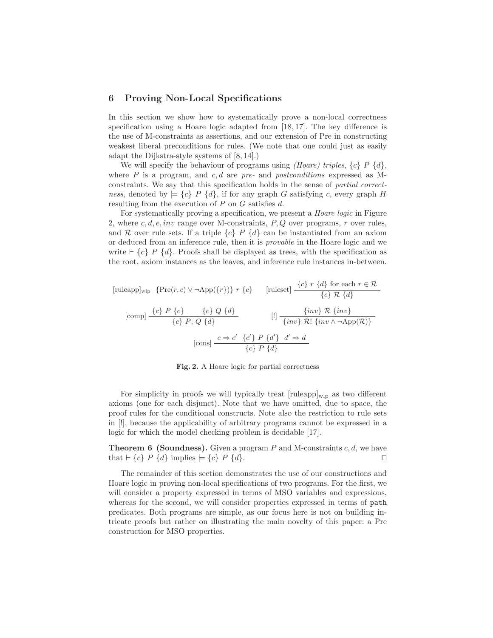#### 6 Proving Non-Local Specifications

In this section we show how to systematically prove a non-local correctness specification using a Hoare logic adapted from [18, 17]. The key difference is the use of M-constraints as assertions, and our extension of Pre in constructing weakest liberal preconditions for rules. (We note that one could just as easily adapt the Dijkstra-style systems of [8, 14].)

We will specify the behaviour of programs using *(Hoare) triples*,  $\{c\} P \{d\}$ , where  $P$  is a program, and  $c, d$  are pre- and postconditions expressed as Mconstraints. We say that this specification holds in the sense of partial correctness, denoted by  $\models \{c\}$  P  $\{d\}$ , if for any graph G satisfying c, every graph H resulting from the execution of  $P$  on  $G$  satisfies  $d$ .

For systematically proving a specification, we present a Hoare logic in Figure 2, where c, d, e, inv range over M-constraints,  $P, Q$  over programs, r over rules, and R over rule sets. If a triple  ${c}$  P  ${d}$  can be instantiated from an axiom or deduced from an inference rule, then it is provable in the Hoare logic and we write  $\vdash \{c\}$  P  $\{d\}$ . Proofs shall be displayed as trees, with the specification as the root, axiom instances as the leaves, and inference rule instances in-between.

$$
[\text{ruleapp}]_{\text{wlp}} \{ \text{Pre}(r, c) \lor \neg \text{App}(\{r\}) \} \ r \ \{c\} \qquad [\text{ruleset}] \ \frac{\{c\} \ r \ \{d\} \text{ for each } r \in \mathcal{R}}{\{c\} \mathcal{R} \ \{d\}}
$$
\n
$$
[\text{comp}] \ \frac{\{c\} \ P \ \{e\} \qquad \{e\} \ Q \ \{d\}}{\{c\} \ P; \ Q \ \{d\}} \qquad \qquad [\text{if} \ \frac{\{inv\} \ \mathcal{R} \ \{inv\}}{\{inv \ \mathcal{R} \ \{inv \ \wedge \neg \text{App}(\mathcal{R})\}}
$$
\n
$$
[\text{cons}] \ \frac{c \Rightarrow c' \ \{c'\} \ P \ \{d'\} \ \ d' \Rightarrow d}{\{c\} \ P \ \{d\}}
$$

Fig. 2. A Hoare logic for partial correctness

For simplicity in proofs we will typically treat  $[\text{ruleapp}]_{\text{wlp}}$  as two different axioms (one for each disjunct). Note that we have omitted, due to space, the proof rules for the conditional constructs. Note also the restriction to rule sets in [!], because the applicability of arbitrary programs cannot be expressed in a logic for which the model checking problem is decidable [17].

**Theorem 6 (Soundness).** Given a program  $P$  and M-constraints  $c, d$ , we have that  $\vdash \{c\}$  P  $\{d\}$  implies  $\models \{c\}$  P  $\{d\}$ . □

The remainder of this section demonstrates the use of our constructions and Hoare logic in proving non-local specifications of two programs. For the first, we will consider a property expressed in terms of MSO variables and expressions, whereas for the second, we will consider properties expressed in terms of path predicates. Both programs are simple, as our focus here is not on building intricate proofs but rather on illustrating the main novelty of this paper: a Pre construction for MSO properties.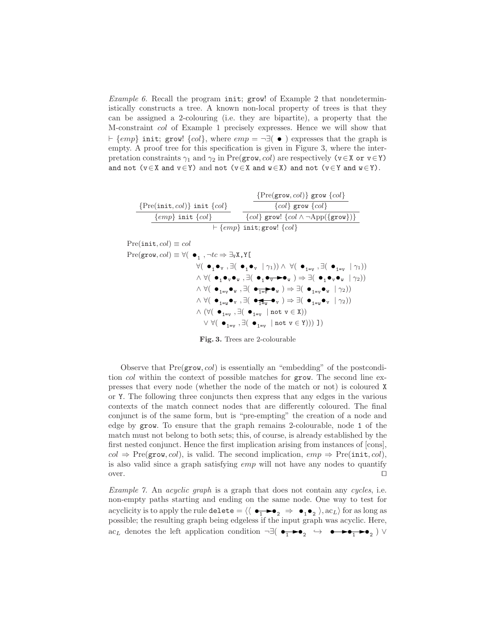*Example 6.* Recall the program init; grow! of Example 2 that nondeterministically constructs a tree. A known non-local property of trees is that they can be assigned a 2-colouring (i.e. they are bipartite), a property that the M-constraint col of Example 1 precisely expresses. Hence we will show that  $\vdash \{emp\}$  init; grow!  $\{col\}$ , where  $emp = \neg \exists (\bullet)$  expresses that the graph is empty. A proof tree for this specification is given in Figure 3, where the interpretation constraints  $\gamma_1$  and  $\gamma_2$  in Pre(grow, col) are respectively (v∈X or v∈Y) and not  $(v \in X$  and  $v \in Y)$  and not  $(v \in X$  and  $w \in X)$  and not  $(v \in Y$  and  $w \in Y)$ .

|                                        | $\{Pre(grow, col)\}$ grow $\{col\}$              |  |
|----------------------------------------|--------------------------------------------------|--|
| $\{Pre(int, col)\}$ init $\{col\}$     | ${col}$ grow ${col}$                             |  |
| $\{emp\}$ init $\{col\}$               | ${col}$ grow! ${col \land \neg App({\{grow\}})}$ |  |
| $\vdash \{emp\}$ init; grow! $\{col\}$ |                                                  |  |

 $Pre(int, col) \equiv col$  $\text{Pre}(\texttt{grow},\textit{col}) \equiv \forall (\begin{array}{c} \bullet_1 \end{array}, \neg \textit{tc} \Rightarrow \exists$ vX,Y[  $\forall ( \begin{array}{c} \bullet_1 \bullet_v, \exists (\begin{array}{c} \bullet_1 \bullet_v \end{array} | \gamma_1)) \wedge \forall (\begin{array}{c} \bullet_{1=v} , \exists (\begin{array}{c} \bullet_{1=v} \end{array} | \gamma_1)) \end{array}$  $\land \forall (\bullet_1\bullet_\mathtt{v}\bullet_\mathtt{w} , \exists (\bullet_1\bullet_\mathtt{v}\blacktriangleright\bullet_\mathtt{w} )\Rightarrow \exists (\bullet_1\bullet_\mathtt{v}\bullet_\mathtt{w} \;|\; \gamma_2))$  $\wedge$   $\forall (\negthickspace \bullet_{_{1=v}} \bullet_{_{\mathrm{w}}} , \exists (\negthickspace \bullet_{_{\mathrm{w}}}) \Rightarrow \exists (\negthickspace \bullet_{_{1=v}} \bullet_{_{\mathrm{w}}} \mid \gamma_2))$  $\wedge$   $\forall$ (  $\bullet$ <sub>1=w</sub>  $\bullet$ <sub>v</sub>  $\exists$ (  $\bullet$ <sub>1=w</sub>  $\bullet$ <sub>v</sub>  $\exists$ (  $\bullet$ <sub>1=w</sub>  $\bullet$ <sub>v</sub>  $\mid$   $\gamma_2$ ))  $\wedge$   $(\forall (\bullet_{1=v} , \exists (\bullet_{1=v} \mid \mathtt{not} \; v \in X))$  $\lor \forall (\bullet_{1=v} , \exists (\bullet_{1=v} \mid not \ v \in Y)))$  ])

Fig. 3. Trees are 2-colourable

Observe that  $Pre(grow, col)$  is essentially an "embedding" of the postcondition *col* within the context of possible matches for grow. The second line expresses that every node (whether the node of the match or not) is coloured X or Y. The following three conjuncts then express that any edges in the various contexts of the match connect nodes that are differently coloured. The final conjunct is of the same form, but is "pre-empting" the creation of a node and edge by grow. To ensure that the graph remains 2-colourable, node 1 of the match must not belong to both sets; this, of course, is already established by the first nested conjunct. Hence the first implication arising from instances of [cons],  $col \Rightarrow \text{Pre}(\texttt{grow},\textit{col})$ , is valid. The second implication,  $emp \Rightarrow \text{Pre}(\texttt{init},\textit{col})$ , is also valid since a graph satisfying emp will not have any nodes to quantify over. ⊓⊔

Example 7. An acyclic graph is a graph that does not contain any cycles, i.e. non-empty paths starting and ending on the same node. One way to test for acyclicity is to apply the rule delete  $= \langle \langle \bullet_1 \bullet_2 \rangle \Rightarrow \bullet_1 \bullet_2 \rangle$ , ac<sub>L</sub>i for as long as possible; the resulting graph being edgeless if the input graph was acyclic. Here, ac<sub>L</sub> denotes the left application condition  $\neg \exists (\bullet_1 \rightarrow \bullet_2 \leftrightarrow \bullet \rightarrow \bullet_1 \rightarrow \bullet_2)$   $\vee$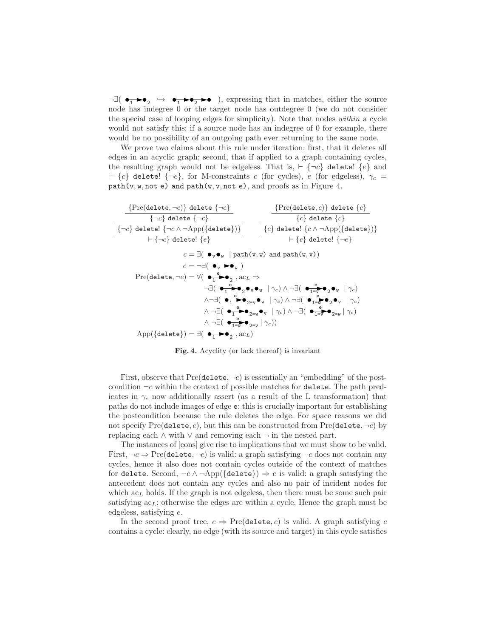$\neg \exists (\bullet_1 \rightarrow \bullet_2 \leftrightarrow \bullet_1 \rightarrow \bullet_2 \rightarrow \bullet)$ , expressing that in matches, either the source node has indegree 0 or the target node has outdegree 0 (we do not consider the special case of looping edges for simplicity). Note that nodes within a cycle would not satisfy this: if a source node has an indegree of 0 for example, there would be no possibility of an outgoing path ever returning to the same node.

We prove two claims about this rule under iteration: first, that it deletes all edges in an acyclic graph; second, that if applied to a graph containing cycles, the resulting graph would not be edgeless. That is,  $\vdash \{\neg c\}$  delete!  $\{e\}$  and  $\vdash \{c\}$  delete!  $\{\neg e\}$ , for M-constraints c (for cycles), e (for edgeless),  $\gamma_c$  =  $path(v, w, not e)$  and  $path(w, v, not e)$ , and proofs as in Figure 4.

| $\{Pre(delete, \neg c) \}$ delete $\{\neg c\}$                                                                                                                                                                              | $\{Pre(\texttt{delete}, c)\}$ delete $\{c\}$                   |  |
|-----------------------------------------------------------------------------------------------------------------------------------------------------------------------------------------------------------------------------|----------------------------------------------------------------|--|
| $\{\neg c\}$ delete $\{\neg c\}$                                                                                                                                                                                            | ${c}$ delete ${c}$                                             |  |
| $\{\neg c\}$ delete! $\{\neg c \land \neg \text{App}(\{\text{delete}\})\}$                                                                                                                                                  | ${c}$ delete! ${c \wedge \neg \text{App}(\{\text{delete}\})\}$ |  |
| $\vdash \{\neg c\}$ delete! $\{e\}$                                                                                                                                                                                         | $\vdash \{c\}$ delete! $\{\neg e\}$                            |  |
| $c = \exists (\bullet_{v} \bullet_{w} \mid \text{path}(v, w) \text{ and } \text{path}(w, v))$                                                                                                                               |                                                                |  |
| $e = \neg \exists (\bullet_{\overline{v}} \rightarrow \bullet_{\overline{v}})$                                                                                                                                              |                                                                |  |
| Pre(delete, $\neg c$ ) = $\forall (\bullet_1^e \bullet \bullet_2, \mathsf{ac}_L \Rightarrow$                                                                                                                                |                                                                |  |
| $\neg \exists (\bullet_{\neg} \overset{e}{\bullet} \bullet_{\circ} \bullet_{v} \bullet_{w} \mid \gamma_{c}) \land \neg \exists (\bullet_{\neg \exists v} \overset{e}{\bullet} \bullet_{\circ} \bullet_{w} \mid \gamma_{c})$ |                                                                |  |
| $\wedge\neg\exists(\bullet\frac{e}{1}\bullet\bullet_{2=v}\bullet_{W}\mid\gamma_{c})\wedge\neg\exists(\bullet\frac{e}{1=v}\bullet_{2}\bullet_{V}\mid\gamma_{c})$                                                             |                                                                |  |
| $\wedge \neg \exists (\bullet_1^e \bullet \bullet_{2=0} \bullet_{V} \mid \gamma_c) \wedge \neg \exists (\bullet_{1=\vee}^e \bullet_{2=\vee} \mid \gamma_c)$                                                                 |                                                                |  |
| $\wedge \neg \exists (\bigoplus_{1=u}^{e} \bullet_{2=v}   \gamma_c))$                                                                                                                                                       |                                                                |  |
| App({delete}) = $\exists$ ( $\bullet$ $\bullet$ $\bullet$ , $\circ$ $\circ$ , $\circ$ $\circ$ )                                                                                                                             |                                                                |  |

Fig. 4. Acyclity (or lack thereof) is invariant

First, observe that  $Pre(delete, \neg c)$  is essentially an "embedding" of the postcondition  $\neg c$  within the context of possible matches for delete. The path predicates in  $\gamma_c$  now additionally assert (as a result of the L transformation) that paths do not include images of edge e: this is crucially important for establishing the postcondition because the rule deletes the edge. For space reasons we did not specify  $Pre(delete, c)$ , but this can be constructed from  $Pre(delete, \neg c)$  by replacing each  $\land$  with  $\lor$  and removing each  $\neg$  in the nested part.

The instances of [cons] give rise to implications that we must show to be valid. First,  $\neg c \Rightarrow \text{Pre}(\text{delete}, \neg c)$  is valid: a graph satisfying  $\neg c$  does not contain any cycles, hence it also does not contain cycles outside of the context of matches for delete. Second,  $\neg c \land \neg \text{App}(\{\text{delete}\}) \Rightarrow e$  is valid: a graph satisfying the antecedent does not contain any cycles and also no pair of incident nodes for which  $ac<sub>L</sub>$  holds. If the graph is not edgeless, then there must be some such pair satisfying  $ac<sub>L</sub>$ ; otherwise the edges are within a cycle. Hence the graph must be edgeless, satisfying e.

In the second proof tree,  $c \Rightarrow \text{Pre}(\text{delete}, c)$  is valid. A graph satisfying c contains a cycle: clearly, no edge (with its source and target) in this cycle satisfies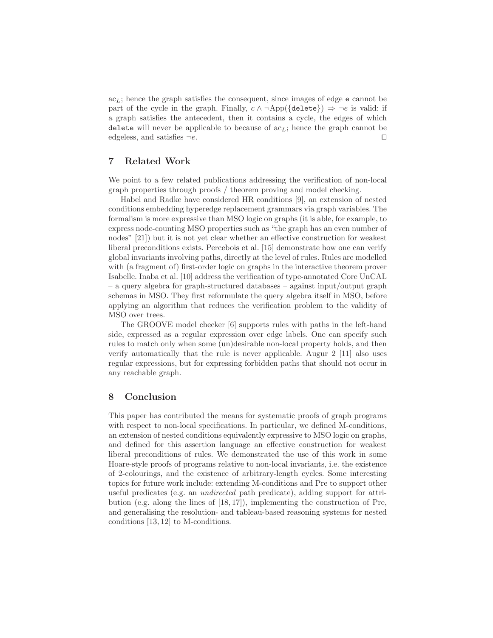$ac<sub>L</sub>$ ; hence the graph satisfies the consequent, since images of edge e cannot be part of the cycle in the graph. Finally,  $c \wedge \neg \text{App}(\{\text{delete}\}) \Rightarrow \neg e$  is valid: if a graph satisfies the antecedent, then it contains a cycle, the edges of which delete will never be applicable to because of  $ac<sub>L</sub>$ ; hence the graph cannot be edgeless, and satisfies ¬e. ⊓⊔

## 7 Related Work

We point to a few related publications addressing the verification of non-local graph properties through proofs / theorem proving and model checking.

Habel and Radke have considered HR conditions [9], an extension of nested conditions embedding hyperedge replacement grammars via graph variables. The formalism is more expressive than MSO logic on graphs (it is able, for example, to express node-counting MSO properties such as "the graph has an even number of nodes" [21]) but it is not yet clear whether an effective construction for weakest liberal preconditions exists. Percebois et al. [15] demonstrate how one can verify global invariants involving paths, directly at the level of rules. Rules are modelled with (a fragment of) first-order logic on graphs in the interactive theorem prover Isabelle. Inaba et al. [10] address the verification of type-annotated Core UnCAL – a query algebra for graph-structured databases – against input/output graph schemas in MSO. They first reformulate the query algebra itself in MSO, before applying an algorithm that reduces the verification problem to the validity of MSO over trees.

The GROOVE model checker [6] supports rules with paths in the left-hand side, expressed as a regular expression over edge labels. One can specify such rules to match only when some (un)desirable non-local property holds, and then verify automatically that the rule is never applicable. Augur 2 [11] also uses regular expressions, but for expressing forbidden paths that should not occur in any reachable graph.

## 8 Conclusion

This paper has contributed the means for systematic proofs of graph programs with respect to non-local specifications. In particular, we defined M-conditions, an extension of nested conditions equivalently expressive to MSO logic on graphs, and defined for this assertion language an effective construction for weakest liberal preconditions of rules. We demonstrated the use of this work in some Hoare-style proofs of programs relative to non-local invariants, i.e. the existence of 2-colourings, and the existence of arbitrary-length cycles. Some interesting topics for future work include: extending M-conditions and Pre to support other useful predicates (e.g. an undirected path predicate), adding support for attribution (e.g. along the lines of [18, 17]), implementing the construction of Pre, and generalising the resolution- and tableau-based reasoning systems for nested conditions [13, 12] to M-conditions.